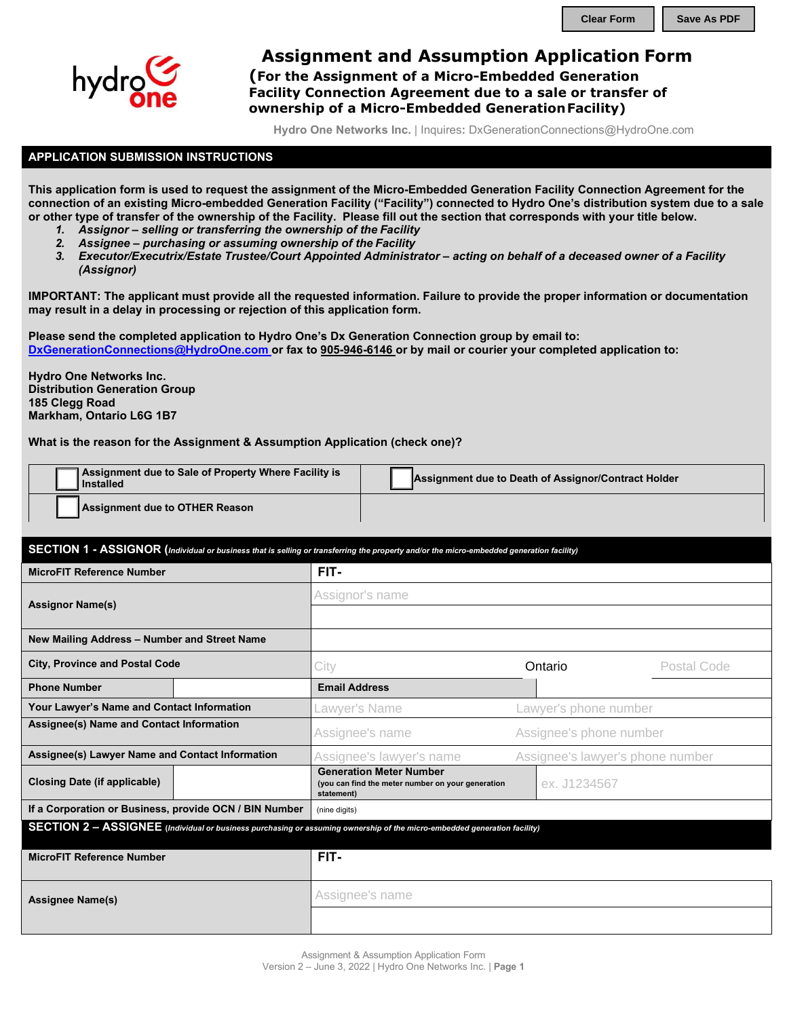

## **Assignment and Assumption Application Form**

**(For the Assignment of a Micro-Embedded Generation Facility Connection Agreement due to a sale or transfer of ownership of a Micro-Embedded GenerationFacility)**

**Hydro One Networks Inc.** | Inquires**:** [DxGenerationConnections@HydroOne.com](mailto:DxGenerationConnections@HydroOne.com)

## **APPLICATION SUBMISSION INSTRUCTIONS**

**This application form is used to request the assignment of the Micro-Embedded Generation Facility Connection Agreement for the connection of an existing Micro-embedded Generation Facility ("Facility") connected to Hydro One's distribution system due to a sale or other type of transfer of the ownership of the Facility. Please fill out the section that corresponds with your title below.**

- *1. Assignor selling or transferring the ownership of the Facility*
- *2. Assignee purchasing or assuming ownership of the Facility*
- *3. Executor/Executrix/Estate Trustee/Court Appointed Administrator acting on behalf of a deceased owner of a Facility (Assignor)*

**IMPORTANT: The applicant must provide all the requested information. Failure to provide the proper information or documentation may result in a delay in processing or rejection of this application form.**

**Please send the completed application to Hydro One's Dx Generation Connection group by email to: [DxGenerationConnections@HydroOne.com o](mailto:DxGenerationConnections@HydroOne.com)r fax to 905-946-6146 or by mail or courier your completed application to:**

**Hydro One Networks Inc. [Distribution Generation Group](mailto:DxGenerationConnections@HydroOne.com)  185 Clegg Road Markham, Ontario L6G 1B7**

**What is the reason for the Assignment & Assumption Application (check one)?**

| Assignment due to Sale of Property Where Facility is<br>Installed | Assignment due to Death of Assignor/Contract Holder |  |  |  |  |
|-------------------------------------------------------------------|-----------------------------------------------------|--|--|--|--|
| Assignment due to OTHER Reason                                    |                                                     |  |  |  |  |

|                                                        |  | SECTION 1 - ASSIGNOR (Individual or business that is selling or transferring the property and/or the micro-embedded generation facility) |                                  |             |  |  |  |
|--------------------------------------------------------|--|------------------------------------------------------------------------------------------------------------------------------------------|----------------------------------|-------------|--|--|--|
| <b>MicroFIT Reference Number</b>                       |  | FIT-                                                                                                                                     |                                  |             |  |  |  |
| <b>Assignor Name(s)</b>                                |  | Assignor's name                                                                                                                          |                                  |             |  |  |  |
|                                                        |  |                                                                                                                                          |                                  |             |  |  |  |
| New Mailing Address - Number and Street Name           |  |                                                                                                                                          |                                  |             |  |  |  |
| <b>City, Province and Postal Code</b>                  |  | City                                                                                                                                     | Ontario                          | Postal Code |  |  |  |
| <b>Phone Number</b>                                    |  | <b>Email Address</b>                                                                                                                     |                                  |             |  |  |  |
| Your Lawyer's Name and Contact Information             |  | Lawyer's Name                                                                                                                            | Lawyer's phone number            |             |  |  |  |
| Assignee(s) Name and Contact Information               |  | Assignee's name                                                                                                                          | Assignee's phone number          |             |  |  |  |
| Assignee(s) Lawyer Name and Contact Information        |  | Assignee's lawyer's name                                                                                                                 | Assignee's lawyer's phone number |             |  |  |  |
| <b>Closing Date (if applicable)</b>                    |  | <b>Generation Meter Number</b><br>(you can find the meter number on your generation<br>statement)                                        | ex. J1234567                     |             |  |  |  |
| If a Corporation or Business, provide OCN / BIN Number |  | (nine digits)                                                                                                                            |                                  |             |  |  |  |
|                                                        |  | SECTION 2 - ASSIGNEE (Individual or business purchasing or assuming ownership of the micro-embedded generation facility)                 |                                  |             |  |  |  |
| <b>MicroFIT Reference Number</b>                       |  | FIT-                                                                                                                                     |                                  |             |  |  |  |
| <b>Assignee Name(s)</b>                                |  | Assignee's name                                                                                                                          |                                  |             |  |  |  |
|                                                        |  |                                                                                                                                          |                                  |             |  |  |  |